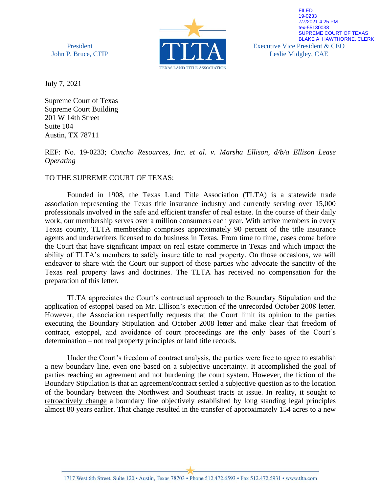President John P. Bruce, CTIP



Executive Vice President & CEO Leslie Midgley, CAE FILED 19-0233 7/7/2021 4:25 PM tex-55130038 SUPREME COURT OF TEXAS BLAKE A. HAWTHORNE, CLERK

July 7, 2021

Supreme Court of Texas Supreme Court Building 201 W 14th Street Suite 104 Austin, TX 78711

REF: No. 19-0233; *Concho Resources, Inc. et al. v. Marsha Ellison, d/b/a Ellison Lease Operating*

### TO THE SUPREME COURT OF TEXAS:

Founded in 1908, the Texas Land Title Association (TLTA) is a statewide trade association representing the Texas title insurance industry and currently serving over 15,000 professionals involved in the safe and efficient transfer of real estate. In the course of their daily work, our membership serves over a million consumers each year. With active members in every Texas county, TLTA membership comprises approximately 90 percent of the title insurance agents and underwriters licensed to do business in Texas. From time to time, cases come before the Court that have significant impact on real estate commerce in Texas and which impact the ability of TLTA's members to safely insure title to real property. On those occasions, we will endeavor to share with the Court our support of those parties who advocate the sanctity of the Texas real property laws and doctrines. The TLTA has received no compensation for the preparation of this letter.

TLTA appreciates the Court's contractual approach to the Boundary Stipulation and the application of estoppel based on Mr. Ellison's execution of the unrecorded October 2008 letter. However, the Association respectfully requests that the Court limit its opinion to the parties executing the Boundary Stipulation and October 2008 letter and make clear that freedom of contract, estoppel, and avoidance of court proceedings are the only bases of the Court's determination – not real property principles or land title records.

Under the Court's freedom of contract analysis, the parties were free to agree to establish a new boundary line, even one based on a subjective uncertainty. It accomplished the goal of parties reaching an agreement and not burdening the court system. However, the fiction of the Boundary Stipulation is that an agreement/contract settled a subjective question as to the location of the boundary between the Northwest and Southeast tracts at issue. In reality, it sought to retroactively change a boundary line objectively established by long standing legal principles almost 80 years earlier. That change resulted in the transfer of approximately 154 acres to a new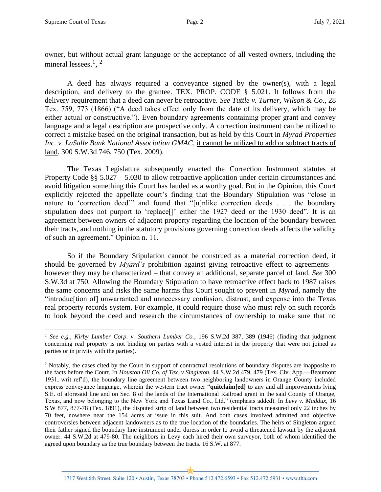owner, but without actual grant language or the acceptance of all vested owners, including the mineral lessees.<sup>1</sup>, <sup>2</sup>

A deed has always required a conveyance signed by the owner(s), with a legal description, and delivery to the grantee. TEX. PROP. CODE § 5.021. It follows from the delivery requirement that a deed can never be retroactive. *See Tuttle v. Turner, Wilson & Co.*, 28 Tex. 759, 773 (1866) ("A deed takes effect only from the date of its delivery, which may be either actual or constructive."). Even boundary agreements containing proper grant and convey language and a legal description are prospective only. A correction instrument can be utilized to correct a mistake based on the original transaction, but as held by this Court in *Myrad Properties Inc. v. LaSalle Bank National Association GMAC*, it cannot be utilized to add or subtract tracts of land. 300 S.W.3d 746, 750 (Tex. 2009).

The Texas Legislature subsequently enacted the Correction Instrument statutes at Property Code §§ 5.027 – 5.030 to allow retroactive application under certain circumstances and avoid litigation something this Court has lauded as a worthy goal. But in the Opinion, this Court explicitly rejected the appellate court's finding that the Boundary Stipulation was "close in nature to 'correction deed'" and found that "[u]nlike correction deeds . . . the boundary stipulation does not purport to 'replace<sup>[]</sup>' either the 1927 deed or the 1930 deed". It is an agreement between owners of adjacent property regarding the location of the boundary between their tracts, and nothing in the statutory provisions governing correction deeds affects the validity of such an agreement." Opinion n. 11.

So if the Boundary Stipulation cannot be construed as a material correction deed, it should be governed by *Myard's* prohibition against giving retroactive effect to agreements – however they may be characterized – that convey an additional, separate parcel of land. *See* 300 S.W.3d at 750. Allowing the Boundary Stipulation to have retroactive effect back to 1987 raises the same concerns and risks the same harms this Court sought to prevent in *Myrad*, namely the "introduc[tion of] unwarranted and unnecessary confusion, distrust, and expense into the Texas real property records system. For example, it could require those who must rely on such records to look beyond the deed and research the circumstances of ownership to make sure that no

1717 West 6th Street, Suite 120 · Austin, Texas 78703 · Phone 512.472.6593 · Fax 512.472.5931 · www.tlta.com

<sup>1</sup> *See e.g.*, *Kirby Lumber Corp. v. Southern Lumber Co.*, 196 S.W.2d 387, 389 (1946) (finding that judgment concerning real property is not binding on parties with a vested interest in the property that were not joined as parties or in privity with the parties).

<sup>2</sup> Notably, the cases cited by the Court in support of contractual resolutions of boundary disputes are inapposite to the facts before the Court. In *Houston Oil Co. of Tex. v Singleton*, 44 S.W.2d 479, 479 (Tex. Civ. App.—Beaumont 1931, writ ref'd), the boundary line agreement between two neighboring landowners in Orange County included express conveyance language, wherein the western tract owner "**quitclaim[ed]** to any and all improvements lying S.E. of aforesaid line and on Sec. 8 of the lands of the International Railroad grant in the said County of Orange, Texas, and now belonging to the New York and Texas Land Co., Ltd." (emphasis added). In *Levy v. Maddux*, 16 S.W 877, 877-78 (Tex. 1891), the disputed strip of land between two residential tracts measured only 22 inches by 70 feet, nowhere near the 154 acres at issue in this suit. And both cases involved admitted and objective controversies between adjacent landowners as to the true location of the boundaries. The heirs of Singleton argued their father signed the boundary line instrument under duress in order to avoid a threatened lawsuit by the adjacent owner. 44 S.W.2d at 479-80. The neighbors in Levy each hired their own surveyor, both of whom identified the agreed upon boundary as the true boundary between the tracts. 16 S.W. at 877.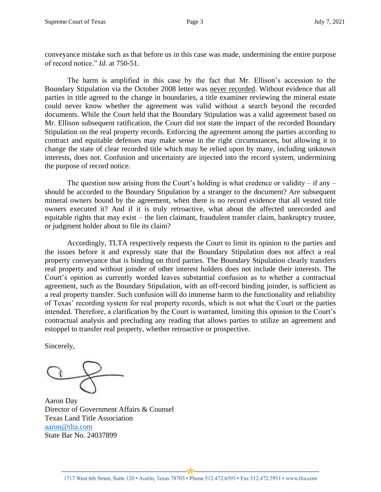conveyance mistake such as that before us in this case was made, undermining the entire purpose of record notice." *Id*. at 750-51.

The harm is amplified in this case by the fact that Mr. Ellison's accession to the Boundary Stipulation via the October 2008 letter was never recorded. Without evidence that all parties in title agreed to the change in boundaries, a title examiner reviewing the mineral estate could never know whether the agreement was valid without a search beyond the recorded documents. While the Court held that the Boundary Stipulation was a valid agreement based on Mr. Ellison subsequent ratification, the Court did not state the impact of the recorded Boundary Stipulation on the real property records. Enforcing the agreement among the parties according to contract and equitable defenses may make sense in the right circumstances, but allowing it to change the state of clear recorded title which may be relied upon by many, including unknown interests, does not. Confusion and uncertainty are injected into the record system, undermining the purpose of record notice.

The question now arising from the Court's holding is what credence or validity – if any – should be accorded to the Boundary Stipulation by a stranger to the document? Are subsequent mineral owners bound by the agreement, when there is no record evidence that all vested title owners executed it? And if it is truly retroactive, what about the affected unrecorded and equitable rights that may exist – the lien claimant, fraudulent transfer claim, bankruptcy trustee, or judgment holder about to file its claim?

Accordingly, TLTA respectively requests the Court to limit its opinion to the parties and the issues before it and expressly state that the Boundary Stipulation does not affect a real property conveyance that is binding on third parties. The Boundary Stipulation clearly transfers real property and without joinder of other interest holders does not include their interests. The Court's opinion as currently worded leaves substantial confusion as to whether a contractual agreement, such as the Boundary Stipulation, with an off-record binding joinder, is sufficient as a real property transfer. Such confusion will do immense harm to the functionality and reliability of Texas' recording system for real property records, which is not what the Court or the parties intended. Therefore, a clarification by the Court is warranted, limiting this opinion to the Court's contractual analysis and precluding any reading that allows parties to utilize an agreement and estoppel to transfer real property, whether retroactive or prospective.

Sincerely,

Aaron Day Director of Government Affairs & Counsel Texas Land Title Association aaron@tlta.com State Bar No. 24037899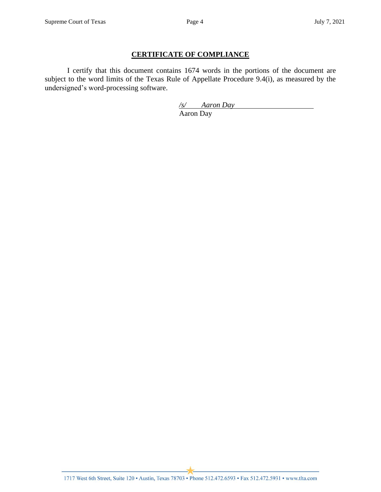#### **CERTIFICATE OF COMPLIANCE**

I certify that this document contains 1674 words in the portions of the document are subject to the word limits of the Texas Rule of Appellate Procedure 9.4(i), as measured by the undersigned's word-processing software.

> */s/ Aaron Day* Aaron Day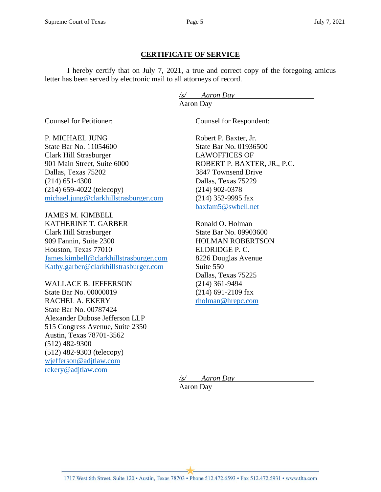### **CERTIFICATE OF SERVICE**

I hereby certify that on July 7, 2021, a true and correct copy of the foregoing amicus letter has been served by electronic mail to all attorneys of record.

> */s/ Aaron Day* Aaron Day

Counsel for Petitioner:

Counsel for Respondent:

P. MICHAEL JUNG State Bar No. 11054600 Clark Hill Strasburger 901 Main Street, Suite 6000 Dallas, Texas 75202 (214) 651-4300 (214) 659-4022 (telecopy) michael.jung@clarkhillstrasburger.com

JAMES M. KIMBELL KATHERINE T. GARBER Clark Hill Strasburger 909 Fannin, Suite 2300 Houston, Texas 77010 James.kimbell@clarkhillstrasburger.com Kathy.garber@clarkhillstrasburger.com

WALLACE B. JEFFERSON State Bar No. 00000019 RACHEL A. EKERY State Bar No. 00787424 Alexander Dubose Jefferson LLP 515 Congress Avenue, Suite 2350 Austin, Texas 78701-3562 (512) 482-9300 (512) 482-9303 (telecopy) wjefferson@adjtlaw.com rekery@adjtlaw.com

Robert P. Baxter, Jr. State Bar No. 01936500 LAWOFFICES OF ROBERT P. BAXTER, JR., P.C. 3847 Townsend Drive Dallas, Texas 75229 (214) 902-0378 (214) 352-9995 fax baxfam5@swbell.net

Ronald O. Holman State Bar No. 09903600 HOLMAN ROBERTSON ELDRIDGE P. C. 8226 Douglas Avenue Suite 550 Dallas, Texas 75225 (214) 361-9494 (214) 691-2109 fax rholman@hrepc.com

*/s/ Aaron Day* Aaron Day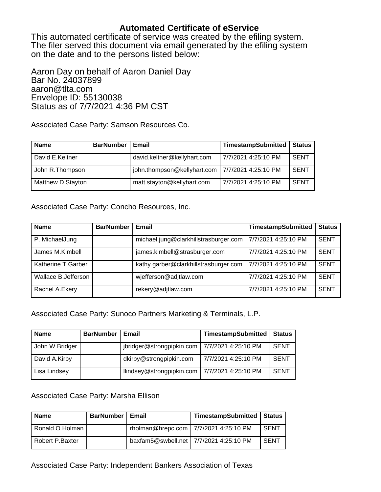# **Automated Certificate of eService**

This automated certificate of service was created by the efiling system. The filer served this document via email generated by the efiling system on the date and to the persons listed below:

Aaron Day on behalf of Aaron Daniel Day Bar No. 24037899 aaron@tlta.com Envelope ID: 55130038 Status as of 7/7/2021 4:36 PM CST

Associated Case Party: Samson Resources Co.

| <b>Name</b>       | <b>BarNumber</b> | Email                       | <b>TimestampSubmitted</b> | <b>Status</b> |
|-------------------|------------------|-----------------------------|---------------------------|---------------|
| David E.Keltner   |                  | david.keltner@kellyhart.com | 7/7/2021 4:25:10 PM       | <b>SENT</b>   |
| John R. Thompson  |                  | john.thompson@kellyhart.com | 7/7/2021 4:25:10 PM       | <b>SENT</b>   |
| Matthew D.Stayton |                  | matt.stayton@kellyhart.com  | 7/7/2021 4:25:10 PM       | <b>SENT</b>   |

Associated Case Party: Concho Resources, Inc.

| <b>Name</b>          | <b>BarNumber</b> | Email                                 | <b>TimestampSubmitted</b> | <b>Status</b> |
|----------------------|------------------|---------------------------------------|---------------------------|---------------|
| P. MichaelJung       |                  | michael.jung@clarkhillstrasburger.com | 7/7/2021 4:25:10 PM       | <b>SENT</b>   |
| James M.Kimbell      |                  | james.kimbell@strasburger.com         | 7/7/2021 4:25:10 PM       | <b>SENT</b>   |
| Katherine T.Garber   |                  | kathy.garber@clarkhillstrasburger.com | 7/7/2021 4:25:10 PM       | <b>SENT</b>   |
| Wallace B. Jefferson |                  | wjefferson@adjtlaw.com                | 7/7/2021 4:25:10 PM       | <b>SENT</b>   |
| Rachel A.Ekery       |                  | rekery@adjtlaw.com                    | 7/7/2021 4:25:10 PM       | <b>SENT</b>   |

Associated Case Party: Sunoco Partners Marketing & Terminals, L.P.

| <b>Name</b>    | <b>BarNumber</b> | Email                     | TimestampSubmitted  | <b>Status</b> |
|----------------|------------------|---------------------------|---------------------|---------------|
| John W.Bridger |                  | jbridger@strongpipkin.com | 7/7/2021 4:25:10 PM | <b>SENT</b>   |
| David A.Kirby  |                  | dkirby@strongpipkin.com   | 7/7/2021 4:25:10 PM | <b>SENT</b>   |
| Lisa Lindsey   |                  | llindsey@strongpipkin.com | 7/7/2021 4:25:10 PM | <b>SENT</b>   |

Associated Case Party: Marsha Ellison

| <b>Name</b>     | <b>BarNumber</b> | Email | TimestampSubmitted   Status              |             |
|-----------------|------------------|-------|------------------------------------------|-------------|
| Ronald O.Holman |                  |       | rholman@hrepc.com   7/7/2021 4:25:10 PM  | <b>SENT</b> |
| Robert P.Baxter |                  |       | baxfam5@swbell.net   7/7/2021 4:25:10 PM | SENT        |

Associated Case Party: Independent Bankers Association of Texas